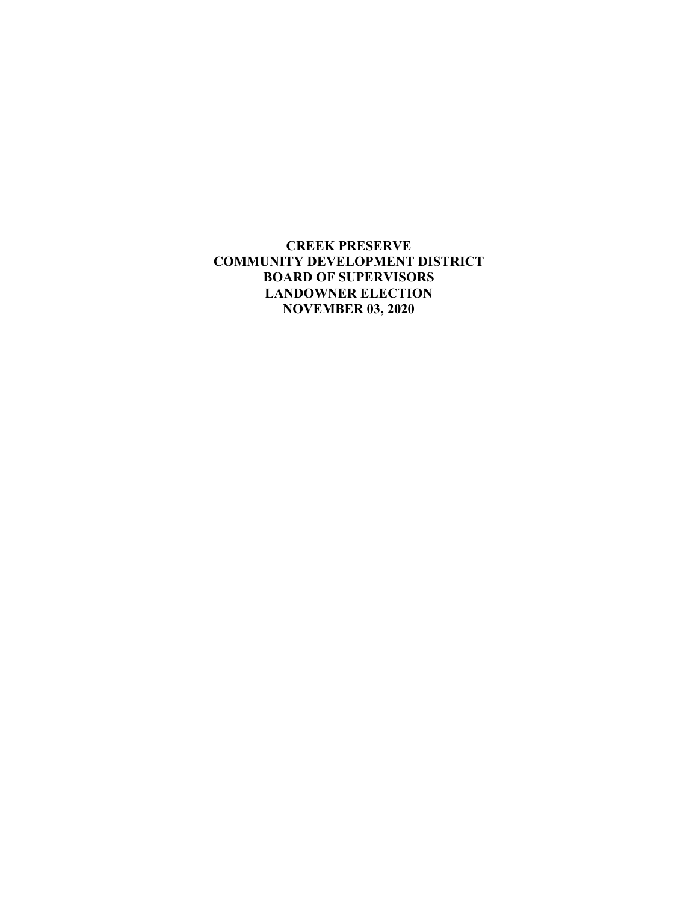**CREEK PRESERVE COMMUNITY DEVELOPMENT DISTRICT BOARD OF SUPERVISORS LANDOWNER ELECTION NOVEMBER 03, 2020**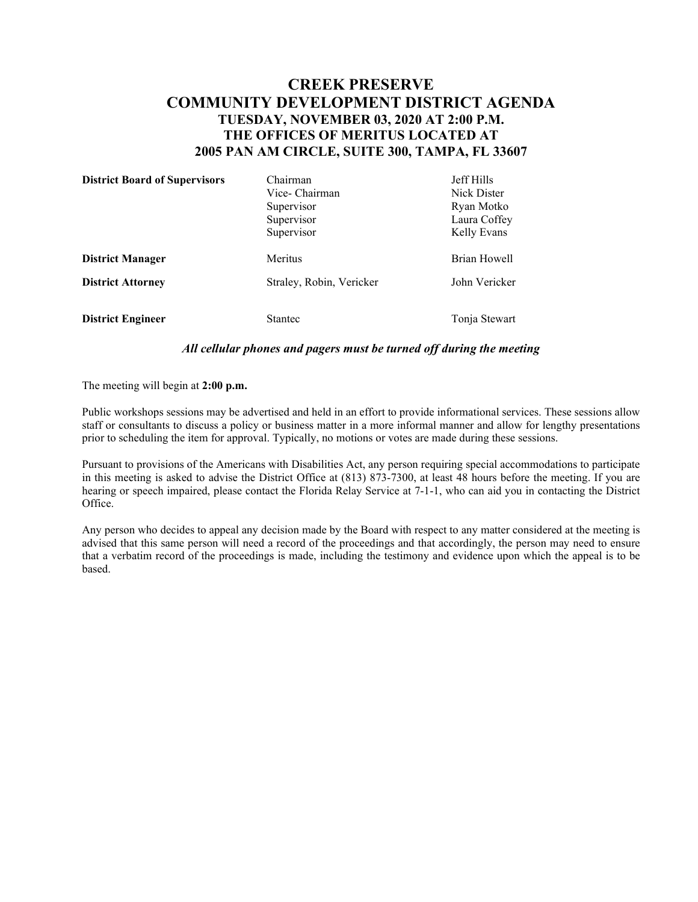## **CREEK PRESERVE COMMUNITY DEVELOPMENT DISTRICT AGENDA TUESDAY, NOVEMBER 03, 2020 AT 2:00 P.M. THE OFFICES OF MERITUS LOCATED AT 2005 PAN AM CIRCLE, SUITE 300, TAMPA, FL 33607**

| <b>District Board of Supervisors</b> | Chairman                 | <b>Jeff Hills</b> |
|--------------------------------------|--------------------------|-------------------|
|                                      | Vice-Chairman            | Nick Dister       |
|                                      | Supervisor               | Ryan Motko        |
|                                      | Supervisor               | Laura Coffey      |
|                                      | Supervisor               | Kelly Evans       |
| <b>District Manager</b>              | Meritus                  | Brian Howell      |
| <b>District Attorney</b>             | Straley, Robin, Vericker | John Vericker     |
| <b>District Engineer</b>             | <b>Stantec</b>           | Tonja Stewart     |

## *All cellular phones and pagers must be turned off during the meeting*

The meeting will begin at **2:00 p.m.**

Public workshops sessions may be advertised and held in an effort to provide informational services. These sessions allow staff or consultants to discuss a policy or business matter in a more informal manner and allow for lengthy presentations prior to scheduling the item for approval. Typically, no motions or votes are made during these sessions.

Pursuant to provisions of the Americans with Disabilities Act, any person requiring special accommodations to participate in this meeting is asked to advise the District Office at (813) 873-7300, at least 48 hours before the meeting. If you are hearing or speech impaired, please contact the Florida Relay Service at 7-1-1, who can aid you in contacting the District Office.

Any person who decides to appeal any decision made by the Board with respect to any matter considered at the meeting is advised that this same person will need a record of the proceedings and that accordingly, the person may need to ensure that a verbatim record of the proceedings is made, including the testimony and evidence upon which the appeal is to be based.